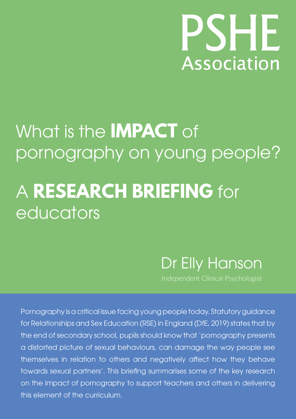# HE **Association**

# What is the **IMPACT** of pornography on young people?

## A **RESEARCH BRIEFING** for educators

Dr Elly Hanson

Independent Clinical Psychologist

Pornography is a critical issue facing young people today. Statutory guidance for Relationships and Sex Education (RSE) in England (DfE, 2019) states that by the end of secondary school, pupils should know that 'pornography presents a distorted picture of sexual behaviours, can damage the way people see themselves in relation to others and negatively affect how they behave towards sexual partners'. This briefing summarises some of the key research on the impact of pornography to support teachers and others in delivering this element of the curriculum.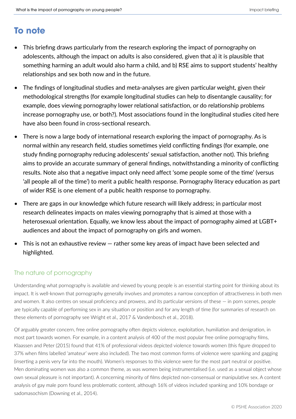### **To note**

- This briefing draws particularly from the research exploring the impact of pornography on adolescents, although the impact on adults is also considered, given that a) it is plausible that something harming an adult would also harm a child, and b) RSE aims to support students' healthy relationships and sex both now and in the future.
- The findings of longitudinal studies and meta-analyses are given particular weight, given their methodological strengths (for example longitudinal studies can help to disentangle causality; for example, does viewing pornography lower relational satisfaction, or do relationship problems increase pornography use, or both?). Most associations found in the longitudinal studies cited here have also been found in cross-sectional research.
- There is now a large body of international research exploring the impact of pornography. As is normal within any research field, studies sometimes yield conflicting findings (for example, one study finding pornography reducing adolescents' sexual satisfaction, another not). This briefing aims to provide an accurate summary of general findings, notwithstanding a minority of conflicting results. Note also that a negative impact only need affect 'some people some of the time' (versus 'all people all of the time') to merit a public health response. Pornography literacy education as part of wider RSE is one element of a public health response to pornography.
- There are gaps in our knowledge which future research will likely address; in particular most research delineates impacts on males viewing pornography that is aimed at those with a heterosexual orientation. Equally, we know less about the impact of pornography aimed at LGBT+ audiences and about the impact of pornography on girls and women.
- This is not an exhaustive review rather some key areas of impact have been selected and highlighted.

#### The nature of pornography

Understanding what pornography is available and viewed by young people is an essential starting point for thinking about its impact. It is well-known that pornography generally involves and promotes a narrow conception of attractiveness in both men and women. It also centres on sexual proficiency and prowess, and its particular versions of these — in porn scenes, people are typically capable of performing sex in any situation or position and for any length of time (for summaries of research on these elements of pornography see Wright et al., 2017 & Vandenbosch et al., 2018).

Of arguably greater concern, free online pornography often depicts violence, exploitation, humiliation and denigration, in most part towards women. For example, in a content analysis of 400 of the most popular free online pornography films, Klaassen and Peter (2015) found that 41% of professional videos depicted violence towards women (this figure dropped to 37% when films labelled 'amateur' were also included). The two most common forms of violence were spanking and gagging (inserting a penis very far into the mouth). Women's responses to this violence were for the most part neutral or positive. Men dominating women was also a common theme, as was women being instrumentalised (i.e. used as a sexual object whose own sexual pleasure is not important). A concerning minority of films depicted non-consensual or manipulative sex. A content analysis of gay male porn found less problematic content, although 16% of videos included spanking and 10% bondage or sadomasochism (Downing et al., 2014).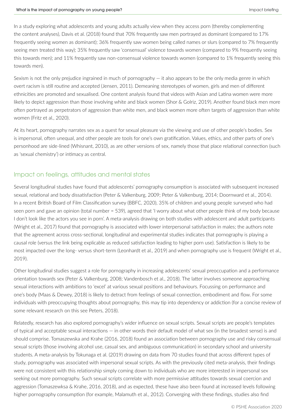In a study exploring what adolescents and young adults actually view when they access porn (thereby complementing the content analyses), Davis et al. (2018) found that 70% frequently saw men portrayed as dominant (compared to 17% frequently seeing women as dominant); 36% frequently saw women being called names or slurs (compared to 7% frequently seeing men treated this way); 35% frequently saw 'consensual' violence towards women (compared to 9% frequently seeing this towards men); and 11% frequently saw non-consensual violence towards women (compared to 1% frequently seeing this towards men).

Sexism is not the only prejudice ingrained in much of pornography — it also appears to be the only media genre in which overt racism is still routine and accepted (Jensen, 2011). Demeaning stereotypes of women, girls and men of different ethnicities are promoted and sexualised. One content analysis found that videos with Asian and Latina women were more likely to depict aggression than those involving white and black women (Shor & Golriz, 2019). Another found black men more often portrayed as perpetrators of aggression than white men, and black women more often targets of aggression than white women (Fritz et al., 2020).

At its heart, pornography narrates sex as a quest for sexual pleasure via the viewing and use of other people's bodies. Sex is impersonal, often unequal, and other people are tools for one's own gratification. Values, ethics, and other parts of one's personhood are side-lined (Whisnant, 2010), as are other versions of sex, namely those that place relational connection (such as 'sexual chemistry') or intimacy as central.

#### Impact on feelings, attitudes and mental states

Several longitudinal studies have found that adolescents' pornography consumption is associated with subsequent increased sexual, relational and body dissatisfaction (Peter & Valkenburg, 2009; Peter & Valkenburg, 2014; Doornward et al., 2014). In a recent British Board of Film Classification survey (BBFC, 2020), 35% of children and young people surveyed who had seen porn and gave an opinion (total number = 539), agreed that 'I worry about what other people think of my body because I don't look like the actors you see in porn'. A meta-analysis drawing on both studies with adolescent and adult participants (Wright et al., 2017) found that pornography is associated with lower interpersonal satisfaction in males; the authors note that the agreement across cross-sectional, longitudinal and experimental studies indicates that pornography is playing a causal role (versus the link being explicable as reduced satisfaction leading to higher porn use). Satisfaction is likely to be most impacted over the long- versus short-term (Leonhardt et al., 2019) and when pornography use is frequent (Wright et al., 2019).

Other longitudinal studies suggest a role for pornography in increasing adolescents' sexual preoccupation and a performance orientation towards sex (Peter & Valkenburg, 2008; Vandenbosch et al., 2018). The latter involves someone approaching sexual interactions with ambitions to 'excel' at various sexual positions and behaviours. Focussing on performance and one's body (Maas & Dewey, 2018) is likely to detract from feelings of sexual connection, embodiment and flow. For some individuals with preoccupying thoughts about pornography, this may tip into dependency or addiction (for a concise review of some relevant research on this see Peters, 2018).

Relatedly, research has also explored pornography's wider influence on sexual scripts. Sexual scripts are people's templates of typical and acceptable sexual interactions — in other words their default model of what sex (in the broadest sense) is and should comprise. Tomaszewska and Krahe (2016, 2018) found an association between pornography use and risky consensual sexual scripts (those involving alcohol use, casual sex, and ambiguous communication) in secondary school and university students. A meta-analysis by Tokunaga et al. (2019) drawing on data from 70 studies found that across different types of study, pornography was associated with impersonal sexual scripts. As with the previously cited meta-analysis, their findings were not consistent with this relationship simply coming down to individuals who are more interested in impersonal sex seeking out more pornography. Such sexual scripts correlate with more permissive attitudes towards sexual coercion and aggression (Tomaszewksa & Krahe, 2016, 2018), and as expected, these have also been found at increased levels following higher pornography consumption (for example, Malamuth et al., 2012). Converging with these findings, studies also find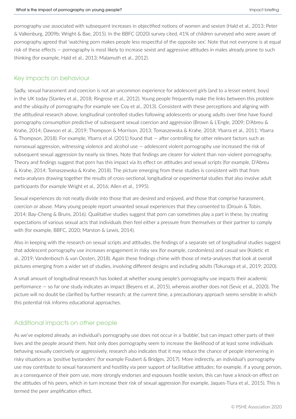pornography use associated with subsequent increases in objectified notions of women and sexism (Hald et al., 2013; Peter & Valkenburg, 2009b; Wright & Bae, 2015). In the BBFC (2020) survey cited, 41% of children surveyed who were aware of pornography agreed that 'watching porn makes people less respectful of the opposite sex'. Note that not everyone is at equal risk of these effects — pornography is most likely to increase sexist and aggressive attitudes in males already prone to such thinking (for example, Hald et al., 2013; Malamuth et al., 2012).

#### Key impacts on behaviour

Sadly, sexual harassment and coercion is not an uncommon experience for adolescent girls (and to a lesser extent, boys) in the UK today (Stanley et al., 2018; Ringrose et al., 2012). Young people frequently make the links between this problem and the ubiquity of pornography (for example see Coy et al., 2013). Consistent with these perceptions and aligning with the attitudinal research above, longitudinal controlled studies following adolescents or young adults over time have found pornography consumption predictive of subsequent sexual coercion and aggression (Brown & L'Engle, 2009; D'Abreu & Krahe, 2014; Dawson et al., 2019; Thompson & Morrison, 2013; Tomaszewska & Krahe, 2018; Ybarra et al., 2011; Ybarra & Thompson, 2018). For example, Ybarra et al. (2011) found that — after controlling for other relevant factors such as nonsexual aggression, witnessing violence and alcohol use — adolescent violent pornography use increased the risk of subsequent sexual aggression by nearly six times. Note that findings are clearer for violent than non-violent pornography. Theory and findings suggest that porn has this impact via its effect on attitudes and sexual scripts (for example, D'Abreu & Krahe, 2014; Tomaszewska & Krahe, 2018). The picture emerging from these studies is consistent with that from meta-analyses drawing together the results of cross-sectional, longitudinal or experimental studies that also involve adult participants (for example Wright et al., 2016; Allen et al., 1995).

Sexual experiences do not neatly divide into those that are desired and enjoyed, and those that comprise harassment, coercion or abuse. Many young people report unwanted sexual experiences that they consented to (Drouin & Tobin, 2014; Bay-Cheng & Bruns, 2016). Qualitative studies suggest that porn can sometimes play a part in these, by creating expectations of various sexual acts that individuals then feel either a pressure from themselves or their partner to comply with (for example, BBFC, 2020; Marston & Lewis, 2014).

Also in keeping with the research on sexual scripts and attitudes, the findings of a separate set of longitudinal studies suggest that adolescent pornography use increases engagement in risky sex (for example, condomless) and casual sex (Koletic et al., 2019; Vandenbosch & van Oosten, 2018). Again these findings chime with those of meta-analyses that look at overall pictures emerging from a wider set of studies, involving different designs and including adults (Tokunaga et al., 2019; 2020).

A small amount of longitudinal research has looked at whether young people's pornography use impacts their academic performance — so far one study indicates an impact (Beyens et al., 2015), whereas another does not (Sevic et al., 2020). The picture will no doubt be clarified by further research; at the current time, a precautionary approach seems sensible in which this potential risk informs educational approaches.

#### Additional impacts on other people

As we've explored already, an individual's pornography use does not occur in a 'bubble', but can impact other parts of their lives and the people around them. Not only does pornography seem to increase the likelihood of at least some individuals behaving sexually coercively or aggressively, research also indicates that it may reduce the chance of people intervening in risky situations as 'positive bystanders' (for example Foubert & Bridges, 2017). More indirectly, an individual's pornography use may contribute to sexual harassment and hostility via peer support of facilitative attitudes; for example, if a young person, as a consequence of their porn use, more strongly endorses and espouses hostile sexism, this can have a knock-on effect on the attitudes of his peers, which in turn increase their risk of sexual aggression (for example, Jaques-Tiura et al., 2015). This is termed the peer amplification effect.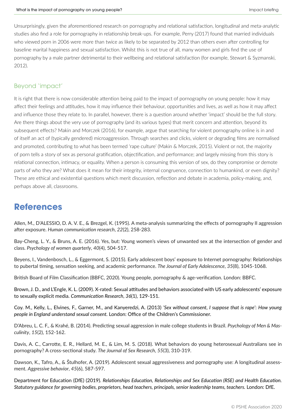Unsurprisingly, given the aforementioned research on pornography and relational satisfaction, longitudinal and meta-analytic studies also find a role for pornography in relationship break-ups. For example, Perry (2017) found that married individuals who viewed porn in 2006 were more than twice as likely to be separated by 2012 than others even after controlling for baseline marital happiness and sexual satisfaction. Whilst this is not true of all, many women and girls find the use of pornography by a male partner detrimental to their wellbeing and relational satisfaction (for example, Stewart & Syzmanski, 2012).

#### Beyond 'impact'

It is right that there is now considerable attention being paid to the impact of pornography on young people: how it may affect their feelings and attitudes, how it may influence their behaviour, opportunities and lives, as well as how it may affect and influence those they relate to. In parallel, however, there is a question around whether 'impact' should be the full story. Are there things about the very use of pornography (and its various types) that merit concern and attention, beyond its subsequent effects? Makin and Morczek (2016), for example, argue that searching for violent pornography online is in and of itself an act of (typically gendered) microaggression. Through searches and clicks, violent or degrading films are normalised and promoted, contributing to what has been termed 'rape culture' (Makin & Morczek, 2015). Violent or not, the majority of porn tells a story of sex as personal gratification, objectification, and performance; and largely missing from this story is relational connection, intimacy, or equality. When a person is consuming this version of sex, do they compromise or demote parts of who they are? What does it mean for their integrity, internal congruence, connection to humankind, or even dignity? These are ethical and existential questions which merit discussion, reflection and debate in academia, policy-making, and, perhaps above all, classrooms.

### **References**

Allen, M., D'ALESSIO, D. A. V. E., & Brezgel, K. (1995). A meta‐analysis summarizing the effects of pornography II aggression after exposure. *Human communication research*, *22*(2), 258-283.

Bay-Cheng, L. Y., & Bruns, A. E. (2016). Yes, but: Young women's views of unwanted sex at the intersection of gender and class. *Psychology of women quarterly*, *40*(4), 504-517.

Beyens, I., Vandenbosch, L., & Eggermont, S. (2015). Early adolescent boys' exposure to Internet pornography: Relationships to pubertal timing, sensation seeking, and academic performance. *The Journal of Early Adolescence*, *35*(8), 1045-1068.

British Board of Film Classification (BBFC, 2020). Young people, pornography & age-verification. London: BBFC.

Brown, J. D., and L'Engle, K. L. (2009). X-rated: Sexual attitudes and behaviors associated with US early adolescents' exposure to sexually explicit media. *Communication Research*, *36*(1), 129-151.

Coy. M., Kelly, L., Elvines, F., Garner, M., and Kanyeredzi, A. (2013) *'Sex without consent, I suppose that is rape'*: *How young people in England understand sexual consent.* London: Office of the Children's Commissioner.

D'Abreu, L. C. F., & Krahé, B. (2014). Predicting sexual aggression in male college students in Brazil. *Psychology of Men & Masculinity*, *15*(2), 152-162.

Davis, A. C., Carrotte, E. R., Hellard, M. E., & Lim, M. S. (2018). What behaviors do young heterosexual Australians see in pornography? A cross-sectional study. *The Journal of Sex Research*, *55*(3), 310-319.

Dawson, K., Tafro, A., & Štulhofer, A. (2019). Adolescent sexual aggressiveness and pornography use: A longitudinal assessment. *Aggressive behavior*, *45*(6), 587-597.

Department for Education (DfE) (2019). *Relationships Education, Relationships and Sex Education (RSE) and Health Education. Statutory guidance for governing bodies, proprietors, head teachers, principals, senior leadership teams, teachers.* London: DfE.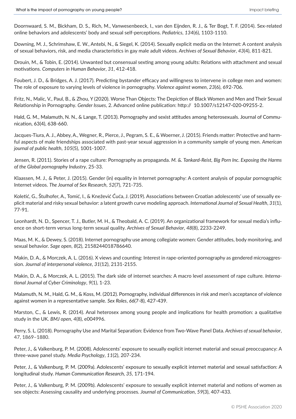Doornwaard, S. M., Bickham, D. S., Rich, M., Vanwesenbeeck, I., van den Eijnden, R. J., & Ter Bogt, T. F. (2014). Sex-related online behaviors and adolescents' body and sexual self-perceptions. *Pediatrics*, *134*(6), 1103-1110.

Downing, M. J., Schrimshaw, E. W., Antebi, N., & Siegel, K. (2014). Sexually explicit media on the Internet: A content analysis of sexual behaviors, risk, and media characteristics in gay male adult videos. *Archives of Sexual Behavior*, *43*(4), 811-821.

Drouin, M., & Tobin, E. (2014). Unwanted but consensual sexting among young adults: Relations with attachment and sexual motivations. *Computers in Human Behavior*, *31*, 412-418.

Foubert, J. D., & Bridges, A. J. (2017). Predicting bystander efficacy and willingness to intervene in college men and women: The role of exposure to varying levels of violence in pornography. *Violence against women*, *23*(6), 692-706.

Fritz, N., Malic, V., Paul, B., & Zhou, Y (2020). Worse Than Objects: The Depiction of Black Women and Men and Their Sexual Relationship in Pornography. *Gender Issues*, 2. Advanced online publication: http:// 10.1007/s12147-020-09255-2.

Hald, G. M., Malamuth, N. N., & Lange, T. (2013). Pornography and sexist attitudes among heterosexuals. Journal of Communication, 63(4), 638-660.

Jacques-Tiura, A. J., Abbey, A., Wegner, R., Pierce, J., Pegram, S. E., & Woerner, J. (2015). Friends matter: Protective and harmful aspects of male friendships associated with past-year sexual aggression in a community sample of young men. *American journal of public health*, *105*(5), 1001-1007.

Jensen, R. (2011). Stories of a rape culture: Pornography as propaganda. *M. &. Tankard-Reist, Big Porn Inc. Exposing the Harms of the Global pornography Industry*, 25-33.

Klaassen, M. J., & Peter, J. (2015). Gender (in) equality in Internet pornography: A content analysis of popular pornographic Internet videos. *The Journal of Sex Research*, *52*(7), 721-735.

Koletić, G., Štulhofer, A., Tomić, I., & Knežević Ćuća, J. (2019). Associations between Croatian adolescents' use of sexually explicit material and risky sexual behavior: a latent growth curve modeling approach. *International Journal of Sexual Health*, *31*(1), 77-91.

Leonhardt, N. D., Spencer, T. J., Butler, M. H., & Theobald, A. C. (2019). An organizational framework for sexual media's influence on short-term versus long-term sexual quality. *Archives of Sexual Behavior*, *48*(8), 2233-2249.

Maas, M. K., & Dewey, S. (2018). Internet pornography use among collegiate women: Gender attitudes, body monitoring, and sexual behavior. *Sage open*, *8*(2), 2158244018786640.

Makin, D. A., & Morczek, A. L. (2016). X views and counting: Interest in rape-oriented pornography as gendered microaggression. *Journal of interpersonal violence*, *31*(12), 2131-2155.

Makin, D. A., & Morczek, A. L. (2015). The dark side of internet searches: A macro level assessment of rape culture. *International Journal of Cyber Criminology*, *9*(1), 1-23.

Malamuth, N. M., Hald, G. M., & Koss, M. (2012). Pornography, individual differences in risk and men's acceptance of violence against women in a representative sample. *Sex Roles*, *66*(7-8), 427-439.

Marston, C., & Lewis, R. (2014). Anal heterosex among young people and implications for health promotion: a qualitative study in the UK. *BMJ open*, *4*(8), e004996.

Perry, S. L. (2018). Pornography Use and Marital Separation: Evidence from Two-Wave Panel Data. *Archives of sexual behavior*, 47, 1869–1880.

Peter, J., & Valkenburg, P. M. (2008). Adolescents' exposure to sexually explicit internet material and sexual preoccupancy: A three-wave panel study. *Media Psychology*, *11*(2), 207-234.

Peter, J., & Valkenburg, P. M. (2009a). Adolescents' exposure to sexually explicit internet material and sexual satisfaction: A longitudinal study. *Human Communication Research, 35,* 171-194.

Peter, J., & Valkenburg, P. M. (2009b). Adolescents' exposure to sexually explicit internet material and notions of women as sex objects: Assessing causality and underlying processes. *Journal of Communication*, *59*(3), 407-433.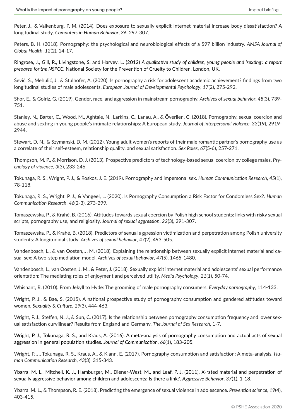Peter, J., & Valkenburg, P. M. (2014). Does exposure to sexually explicit Internet material increase body dissatisfaction? A longitudinal study. *Computers in Human Behavior*, *36*, 297-307.

Peters, B. H. (2018). Pornography: the psychological and neurobiological effects of a \$97 billion industry. *AMSA Journal of Global Health*, *12*(2), 14-17.

Ringrose, J., Gill, R., Livingstone, S. and Harvey, L. (2012) *A qualitative study of children, young people and 'sexting': a report prepared for the NSPCC.* National Society for the Prevention of Cruelty to Children, London, UK.

Šević, S., Mehulić, J., & Štulhofer, A. (2020). Is pornography a risk for adolescent academic achievement? findings from two longitudinal studies of male adolescents. *European Journal of Developmental Psychology*, *17*(2), 275-292.

Shor, E., & Golriz, G. (2019). Gender, race, and aggression in mainstream pornography. *Archives of sexual behavior*, *48*(3), 739- 751.

Stanley, N., Barter, C., Wood, M., Aghtaie, N., Larkins, C., Lanau, A., & Överlien, C. (2018). Pornography, sexual coercion and abuse and sexting in young people's intimate relationships: A European study. *Journal of interpersonal violence*, *33*(19), 2919- 2944.

Stewart, D. N., & Szymanski, D. M. (2012). Young adult women's reports of their male romantic partner's pornography use as a correlate of their self-esteem, relationship quality, and sexual satisfaction. *Sex Roles*, *67*(5-6), 257-271.

Thompson, M. P., & Morrison, D. J. (2013). Prospective predictors of technology-based sexual coercion by college males. *Psychology of violence*, *3*(3), 233-246.

Tokunaga, R. S., Wright, P. J., & Roskos, J. E. (2019). Pornography and impersonal sex. *Human Communication Research*, *45*(1), 78-118.

Tokunaga, R. S., Wright, P. J., & Vangeel, L. (2020). Is Pornography Consumption a Risk Factor for Condomless Sex?. *Human Communication Research*, *46*(2-3), 273-299.

Tomaszewska, P., & Krahé, B. (2016). Attitudes towards sexual coercion by Polish high school students: links with risky sexual scripts, pornography use, and religiosity. *Journal of sexual aggression*, *22*(3), 291-307.

Tomaszewska, P., & Krahé, B. (2018). Predictors of sexual aggression victimization and perpetration among Polish university students: A longitudinal study. *Archives of sexual behavior*, *47*(2), 493-505.

Vandenbosch, L., & van Oosten, J. M. (2018). Explaining the relationship between sexually explicit internet material and casual sex: A two-step mediation model. *Archives of sexual behavior*, *47*(5), 1465-1480.

Vandenbosch, L., van Oosten, J. M., & Peter, J. (2018). Sexually explicit internet material and adolescents' sexual performance orientation: The mediating roles of enjoyment and perceived utility. *Media Psychology*, *21*(1), 50-74.

Whisnant, R. (2010). From Jekyll to Hyde: The grooming of male pornography consumers. *Everyday pornography*, 114-133.

Wright, P. J., & Bae, S. (2015). A national prospective study of pornography consumption and gendered attitudes toward women. *Sexuality & Culture*, *19*(3), 444-463.

Wright, P. J., Steffen, N. J., & Sun, C. (2017). Is the relationship between pornography consumption frequency and lower sexual satisfaction curvilinear? Results from England and Germany. *The Journal of Sex Research*, 1-7.

Wright, P. J., Tokunaga, R. S., and Kraus, A. (2016). A meta-analysis of pornography consumption and actual acts of sexual aggression in general population studies. *Journal of Communication*, *66*(1), 183-205.

Wright, P. J., Tokunaga, R. S., Kraus, A., & Klann, E. (2017). Pornography consumption and satisfaction: A meta-analysis. *Human Communication Research*, *43*(3), 315-343.

Ybarra, M. L., Mitchell, K. J., Hamburger, M., Diener-West, M., and Leaf, P. J. (2011). X-rated material and perpetration of sexually aggressive behavior among children and adolescents: Is there a link?. *Aggressive Behavior*, *37*(1), 1-18.

Ybarra, M. L., & Thompson, R. E. (2018). Predicting the emergence of sexual violence in adolescence. *Prevention science*, *19*(4), 403-415.